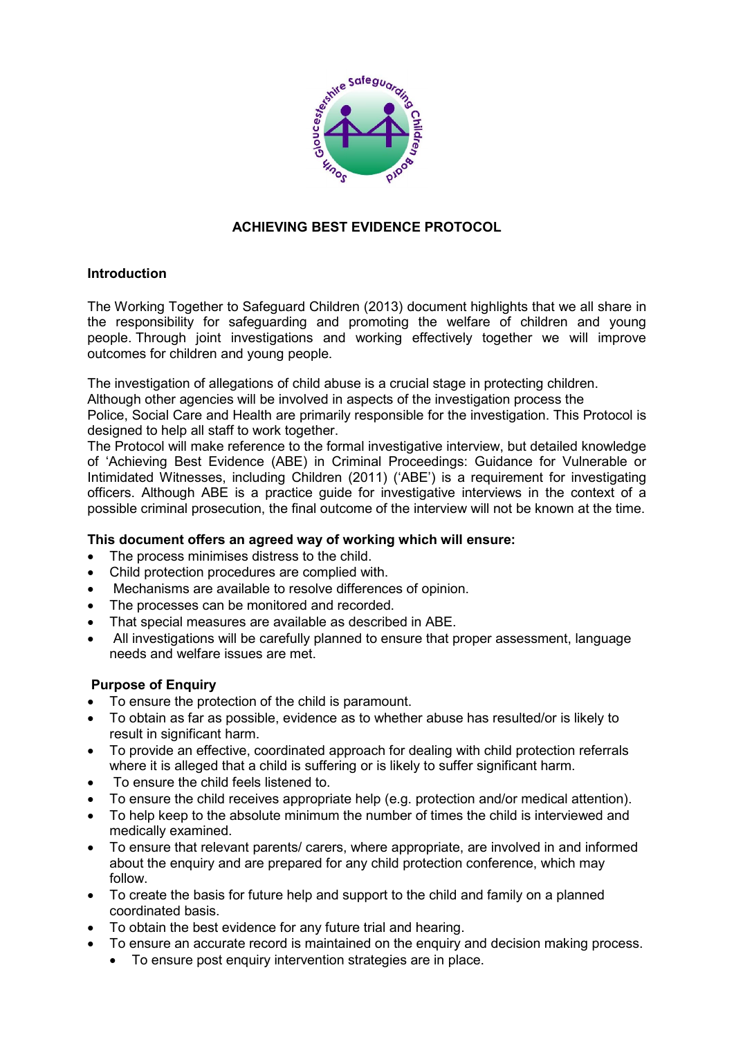

# **ACHIEVING BEST EVIDENCE PROTOCOL**

## **Introduction**

The Working Together to Safeguard Children (2013) document highlights that we all share in the [responsibility](http://media.education.gov.uk/assets/files/pdf/w/working together.pdf) for safeguarding and promoting the welfare of children and young people. Through joint investigations and working effectively together we will improve outcomes for children and young people.

The investigation of allegations of child abuse is a crucial stage in protecting children.

Although other agencies will be involved in aspects of the investigation process the

Police, Social Care and Health are primarily responsible for the investigation. This Protocol is designed to help all staff to work together.

The Protocol will make reference to the formal investigative interview, but detailed knowledge of 'Achieving Best Evidence (ABE) in Criminal Proceedings: Guidance for Vulnerable or Intimidated Witnesses, including Children (2011) ('ABE') is a requirement for investigating officers. Although ABE is a practice guide for investigative interviews in the context of a possible criminal prosecution, the final outcome of the interview will not be known at the time.

## **This document offers an agreed way of working which will ensure:**

- The process minimises distress to the child.
- Child protection procedures are complied with.
- Mechanisms are available to resolve differences of opinion.
- The processes can be monitored and recorded.
- That special measures are available as described in ABE.
- All investigations will be carefully planned to ensure that proper assessment, language needs and welfare issues are met.

## **Purpose of Enquiry**

- To ensure the protection of the child is paramount.
- To obtain as far as possible, evidence as to whether abuse has resulted/or is likely to result in significant harm.
- To provide an effective, coordinated approach for dealing with child protection referrals where it is alleged that a child is suffering or is likely to suffer significant harm.
- To ensure the child feels listened to.
- To ensure the child receives appropriate help (e.g. protection and/or medical attention).
- To help keep to the absolute minimum the number of times the child is interviewed and medically examined.
- To ensure that relevant parents/ carers, where appropriate, are involved in and informed about the enquiry and are prepared for any child protection conference, which may follow.
- To create the basis for future help and support to the child and family on a planned coordinated basis.
- To obtain the best evidence for any future trial and hearing.
- To ensure an accurate record is maintained on the enquiry and decision making process.
	- To ensure post enquiry intervention strategies are in place.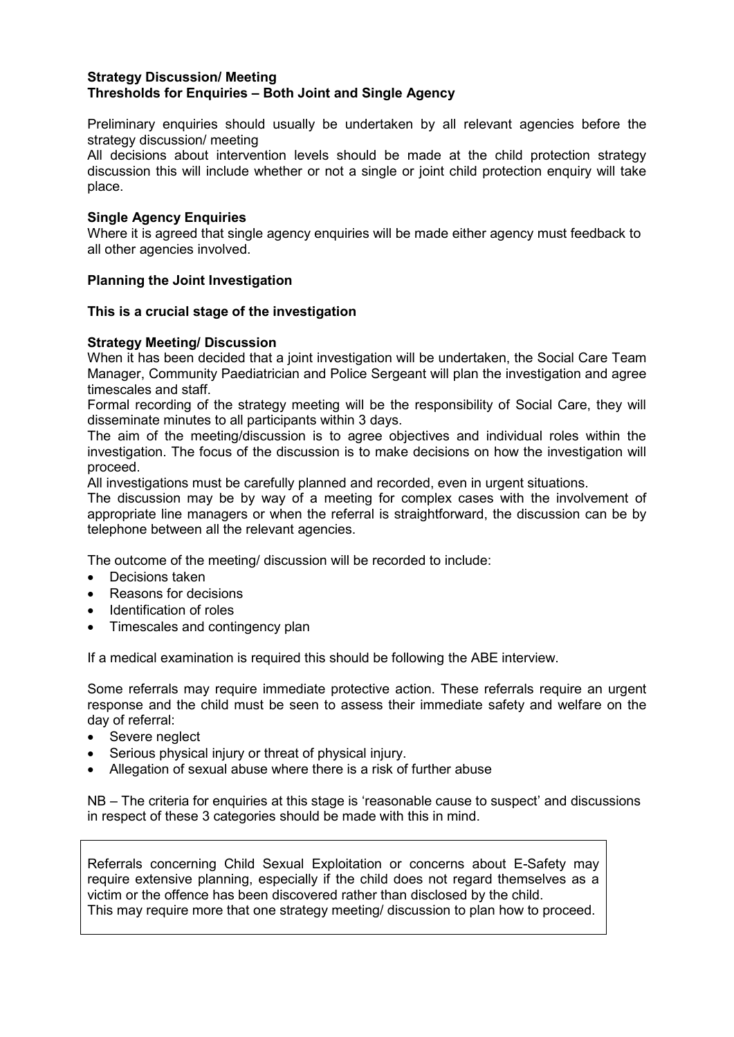### **Strategy Discussion/ Meeting Thresholds for Enquiries – Both Joint and Single Agency**

Preliminary enquiries should usually be undertaken by all relevant agencies before the strategy discussion/ meeting

All decisions about intervention levels should be made at the child protection strategy discussion this will include whether or not a single or joint child protection enquiry will take place.

### **Single Agency Enquiries**

Where it is agreed that single agency enquiries will be made either agency must feedback to all other agencies involved.

## **Planning the Joint Investigation**

### **This is a crucial stage of the investigation**

### **Strategy Meeting/ Discussion**

When it has been decided that a joint investigation will be undertaken, the Social Care Team Manager, Community Paediatrician and Police Sergeant will plan the investigation and agree timescales and staff.

Formal recording of the strategy meeting will be the responsibility of Social Care, they will disseminate minutes to all participants within 3 days.

The aim of the meeting/discussion is to agree objectives and individual roles within the investigation. The focus of the discussion is to make decisions on how the investigation will proceed.

All investigations must be carefully planned and recorded, even in urgent situations.

The discussion may be by way of a meeting for complex cases with the involvement of appropriate line managers or when the referral is straightforward, the discussion can be by telephone between all the relevant agencies.

The outcome of the meeting/ discussion will be recorded to include:

- Decisions taken
- Reasons for decisions
- Identification of roles
- Timescales and contingency plan

If a medical examination is required this should be following the ABE interview.

Some referrals may require immediate protective action. These referrals require an urgent response and the child must be seen to assess their immediate safety and welfare on the day of referral:

- Severe neglect
- Serious physical injury or threat of physical injury.
- Allegation of sexual abuse where there is a risk of further abuse

NB – The criteria for enquiries at this stage is 'reasonable cause to suspect' and discussions in respect of these 3 categories should be made with this in mind.

Referrals concerning Child Sexual Exploitation or concerns about E-Safety may require extensive planning, especially if the child does not regard themselves as a victim or the offence has been discovered rather than disclosed by the child. This may require more that one strategy meeting/ discussion to plan how to proceed.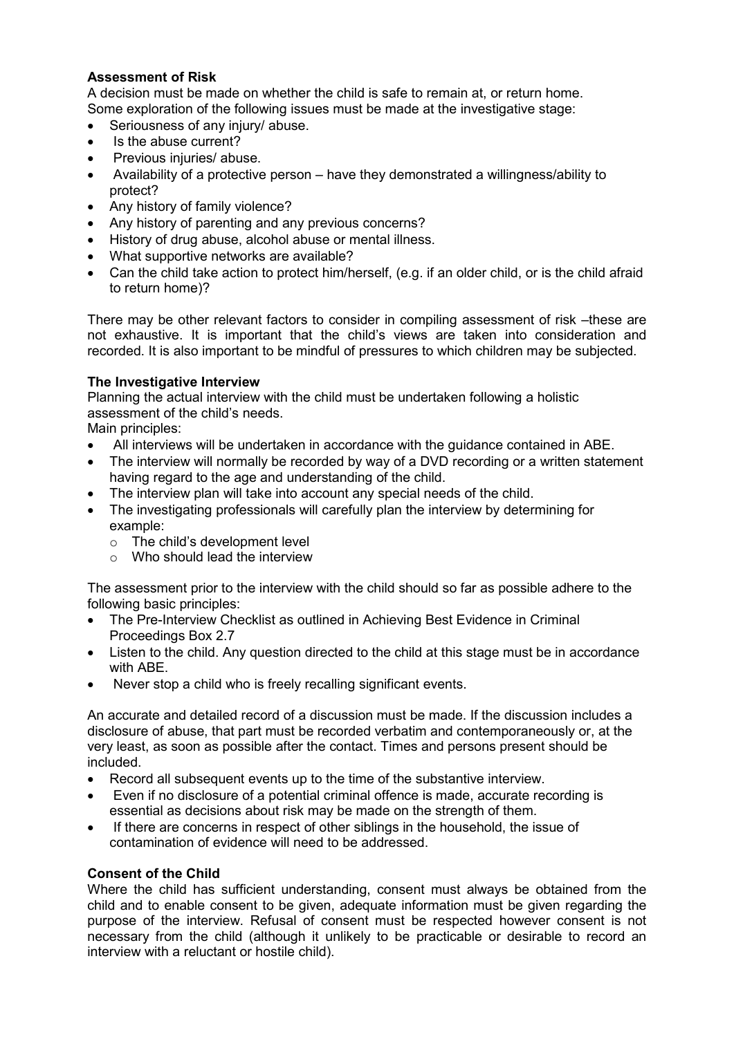## **Assessment of Risk**

A decision must be made on whether the child is safe to remain at, or return home. Some exploration of the following issues must be made at the investigative stage:

- Seriousness of any injury/ abuse.
- Is the abuse current?
- Previous injuries/ abuse.
- Availability of a protective person have they demonstrated a willingness/ability to protect?
- Any history of family violence?
- Any history of parenting and any previous concerns?
- History of drug abuse, alcohol abuse or mental illness.
- What supportive networks are available?
- Can the child take action to protect him/herself, (e.g. if an older child, or is the child afraid to return home)?

There may be other relevant factors to consider in compiling assessment of risk –these are not exhaustive. It is important that the child's views are taken into consideration and recorded. It is also important to be mindful of pressures to which children may be subjected.

## **The Investigative Interview**

Planning the actual interview with the child must be undertaken following a holistic assessment of the child's needs.

Main principles:

- All interviews will be undertaken in accordance with the guidance contained in ABE.
- The interview will normally be recorded by way of a DVD recording or a written statement having regard to the age and understanding of the child.
- The interview plan will take into account any special needs of the child.
- The investigating professionals will carefully plan the interview by determining for example:
	- o The child's development level
	- $\circ$  Who should lead the interview

The assessment prior to the interview with the child should so far as possible adhere to the following basic principles:

- The Pre-Interview Checklist as outlined in Achieving Best Evidence in Criminal Proceedings Box 2.7
- Listen to the child. Any question directed to the child at this stage must be in accordance with ABE.
- Never stop a child who is freely recalling significant events.

An accurate and detailed record of a discussion must be made. If the discussion includes a disclosure of abuse, that part must be recorded verbatim and contemporaneously or, at the very least, as soon as possible after the contact. Times and persons present should be included.

- Record all subsequent events up to the time of the substantive interview.
- Even if no disclosure of a potential criminal offence is made, accurate recording is essential as decisions about risk may be made on the strength of them.
- If there are concerns in respect of other siblings in the household, the issue of contamination of evidence will need to be addressed.

## **Consent of the Child**

Where the child has sufficient understanding, consent must always be obtained from the child and to enable consent to be given, adequate information must be given regarding the purpose of the interview. Refusal of consent must be respected however consent is not necessary from the child (although it unlikely to be practicable or desirable to record an interview with a reluctant or hostile child).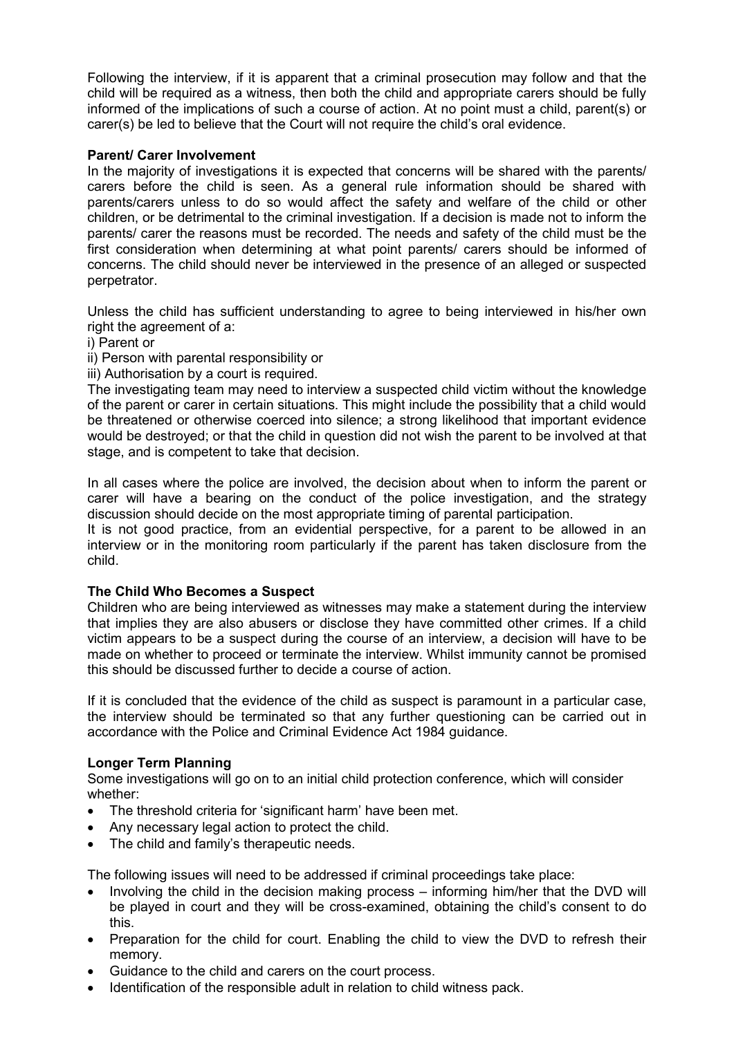Following the interview, if it is apparent that a criminal prosecution may follow and that the child will be required as a witness, then both the child and appropriate carers should be fully informed of the implications of such a course of action. At no point must a child, parent(s) or carer(s) be led to believe that the Court will not require the child's oral evidence.

### **Parent/ Carer Involvement**

In the majority of investigations it is expected that concerns will be shared with the parents/ carers before the child is seen. As a general rule information should be shared with parents/carers unless to do so would affect the safety and welfare of the child or other children, or be detrimental to the criminal investigation. If a decision is made not to inform the parents/ carer the reasons must be recorded. The needs and safety of the child must be the first consideration when determining at what point parents/ carers should be informed of concerns. The child should never be interviewed in the presence of an alleged or suspected perpetrator.

Unless the child has sufficient understanding to agree to being interviewed in his/her own right the agreement of a:

i) Parent or

ii) Person with parental responsibility or

iii) Authorisation by a court is required.

The investigating team may need to interview a suspected child victim without the knowledge of the parent or carer in certain situations. This might include the possibility that a child would be threatened or otherwise coerced into silence; a strong likelihood that important evidence would be destroyed; or that the child in question did not wish the parent to be involved at that stage, and is competent to take that decision.

In all cases where the police are involved, the decision about when to inform the parent or carer will have a bearing on the conduct of the police investigation, and the strategy discussion should decide on the most appropriate timing of parental participation.

It is not good practice, from an evidential perspective, for a parent to be allowed in an interview or in the monitoring room particularly if the parent has taken disclosure from the child.

## **The Child Who Becomes a Suspect**

Children who are being interviewed as witnesses may make a statement during the interview that implies they are also abusers or disclose they have committed other crimes. If a child victim appears to be a suspect during the course of an interview, a decision will have to be made on whether to proceed or terminate the interview. Whilst immunity cannot be promised this should be discussed further to decide a course of action.

If it is concluded that the evidence of the child as suspect is paramount in a particular case, the interview should be terminated so that any further questioning can be carried out in accordance with the Police and Criminal Evidence Act 1984 guidance.

## **Longer Term Planning**

Some investigations will go on to an initial child protection conference, which will consider whether:

- The threshold criteria for 'significant harm' have been met.
- Any necessary legal action to protect the child.
- The child and family's therapeutic needs.

The following issues will need to be addressed if criminal proceedings take place:

- Involving the child in the decision making process informing him/her that the DVD will be played in court and they will be cross-examined, obtaining the child's consent to do this.
- Preparation for the child for court. Enabling the child to view the DVD to refresh their memory.
- Guidance to the child and carers on the court process.
- Identification of the responsible adult in relation to child witness pack.